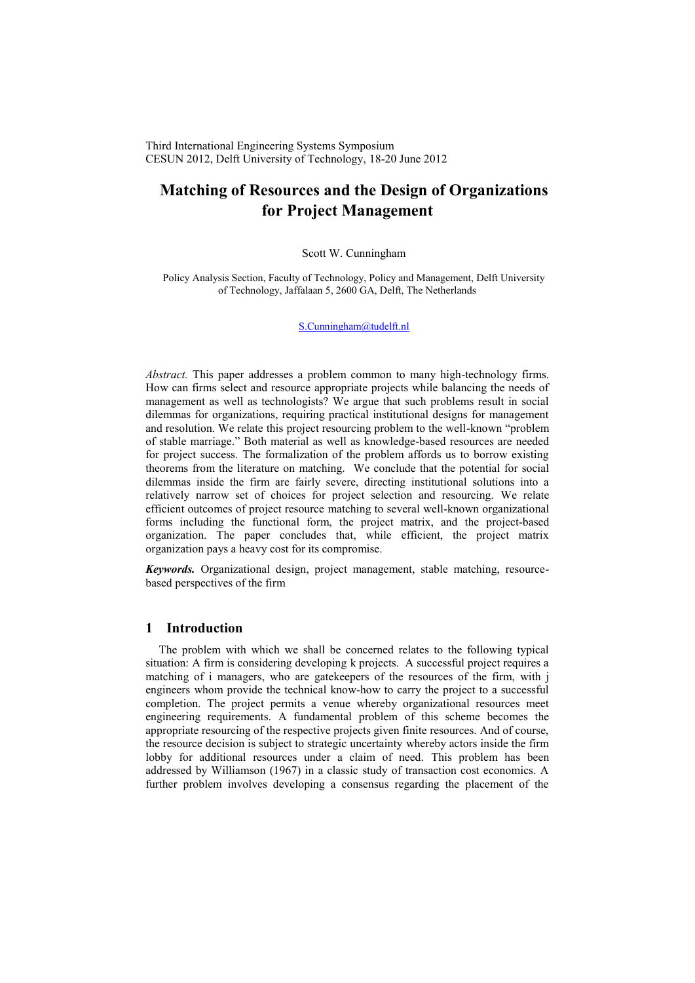Third International Engineering Systems Symposium CESUN 2012, Delft University of Technology, 18-20 June 2012

# **Matching of Resources and the Design of Organizations for Project Management**

## Scott W. Cunningham

Policy Analysis Section, Faculty of Technology, Policy and Management, Delft University of Technology, Jaffalaan 5, 2600 GA, Delft, The Netherlands

[S.Cunningham@tudelft.nl](mailto:S.Cunningham@tudelft.nl)

*Abstract.* This paper addresses a problem common to many high-technology firms. How can firms select and resource appropriate projects while balancing the needs of management as well as technologists? We argue that such problems result in social dilemmas for organizations, requiring practical institutional designs for management and resolution. We relate this project resourcing problem to the well-known "problem of stable marriage." Both material as well as knowledge-based resources are needed for project success. The formalization of the problem affords us to borrow existing theorems from the literature on matching. We conclude that the potential for social dilemmas inside the firm are fairly severe, directing institutional solutions into a relatively narrow set of choices for project selection and resourcing. We relate efficient outcomes of project resource matching to several well-known organizational forms including the functional form, the project matrix, and the project-based organization. The paper concludes that, while efficient, the project matrix organization pays a heavy cost for its compromise.

*Keywords.* Organizational design, project management, stable matching, resourcebased perspectives of the firm

# **1 Introduction**

The problem with which we shall be concerned relates to the following typical situation: A firm is considering developing k projects. A successful project requires a matching of i managers, who are gatekeepers of the resources of the firm, with j engineers whom provide the technical know-how to carry the project to a successful completion. The project permits a venue whereby organizational resources meet engineering requirements. A fundamental problem of this scheme becomes the appropriate resourcing of the respective projects given finite resources. And of course, the resource decision is subject to strategic uncertainty whereby actors inside the firm lobby for additional resources under a claim of need. This problem has been addressed by Williamson (1967) in a classic study of transaction cost economics. A further problem involves developing a consensus regarding the placement of the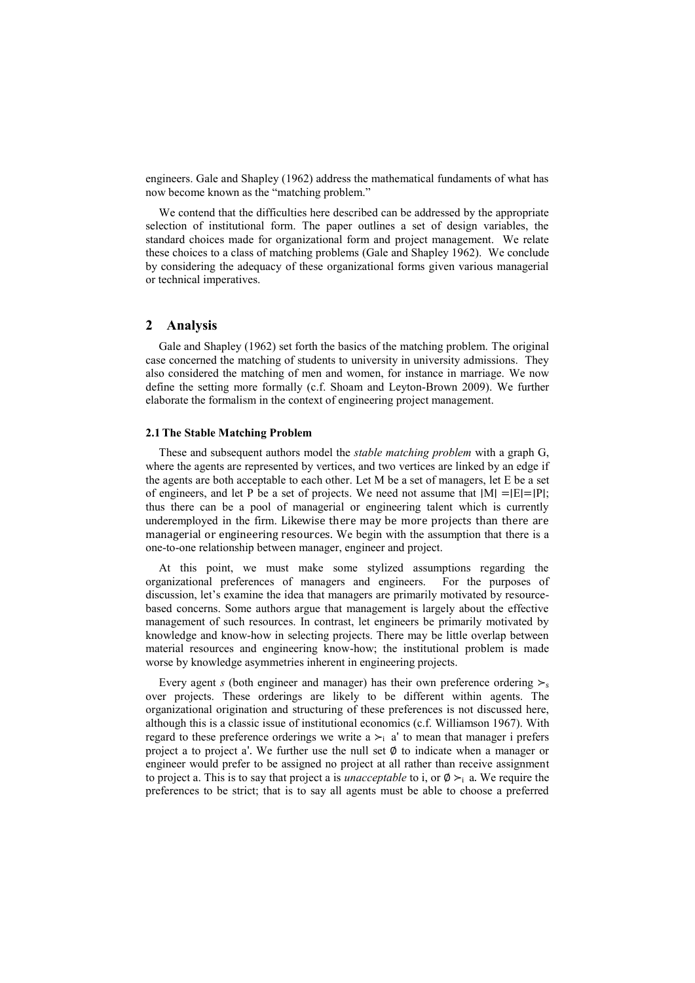engineers. Gale and Shapley (1962) address the mathematical fundaments of what has now become known as the "matching problem."

We contend that the difficulties here described can be addressed by the appropriate selection of institutional form. The paper outlines a set of design variables, the standard choices made for organizational form and project management. We relate these choices to a class of matching problems (Gale and Shapley 1962). We conclude by considering the adequacy of these organizational forms given various managerial or technical imperatives.

# **2 Analysis**

Gale and Shapley (1962) set forth the basics of the matching problem. The original case concerned the matching of students to university in university admissions. They also considered the matching of men and women, for instance in marriage. We now define the setting more formally (c.f. Shoam and Leyton-Brown 2009). We further elaborate the formalism in the context of engineering project management.

# **2.1The Stable Matching Problem**

These and subsequent authors model the *stable matching problem* with a graph G, where the agents are represented by vertices, and two vertices are linked by an edge if the agents are both acceptable to each other. Let M be a set of managers, let E be a set of engineers, and let P be a set of projects. We need not assume that ∣M∣ =∣E∣=∣P∣; thus there can be a pool of managerial or engineering talent which is currently underemployed in the firm. Likewise there may be more projects than there are managerial or engineering resources. We begin with the assumption that there is a one-to-one relationship between manager, engineer and project.

At this point, we must make some stylized assumptions regarding the organizational preferences of managers and engineers. For the purposes of discussion, let's examine the idea that managers are primarily motivated by resourcebased concerns. Some authors argue that management is largely about the effective management of such resources. In contrast, let engineers be primarily motivated by knowledge and know-how in selecting projects. There may be little overlap between material resources and engineering know-how; the institutional problem is made worse by knowledge asymmetries inherent in engineering projects.

Every agent *s* (both engineer and manager) has their own preference ordering  $\succ$ <sub>s</sub> over projects. These orderings are likely to be different within agents. The organizational origination and structuring of these preferences is not discussed here, although this is a classic issue of institutional economics (c.f. Williamson 1967). With regard to these preference orderings we write a  $\geq i$  a' to mean that manager i prefers project a to project a'. We further use the null set  $\emptyset$  to indicate when a manager or engineer would prefer to be assigned no project at all rather than receive assignment to project a. This is to say that project a is *unacceptable* to i, or  $\emptyset \succ_i$  a. We require the preferences to be strict; that is to say all agents must be able to choose a preferred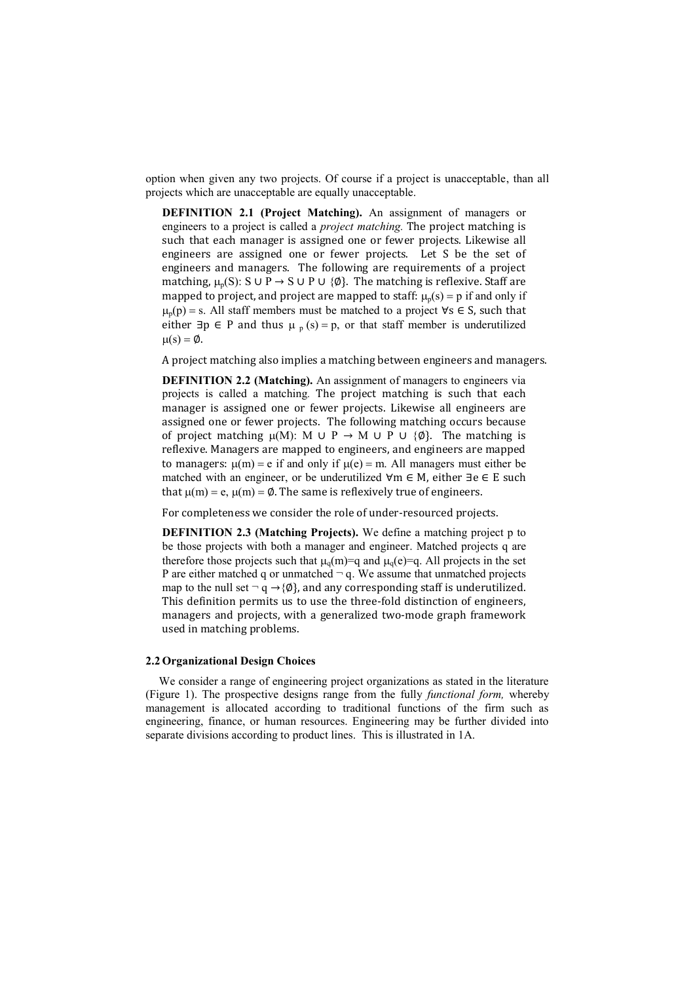option when given any two projects. Of course if a project is unacceptable, than all projects which are unacceptable are equally unacceptable.

**DEFINITION 2.1 (Project Matching).** An assignment of managers or engineers to a project is called a *project matching.* The project matching is such that each manager is assigned one or fewer projects. Likewise all engineers are assigned one or fewer projects. Let S be the set of engineers and managers. The following are requirements of a project matching,  $\mu_n(S)$ : S ∪ P → S ∪ P ∪ {Ø}. The matching is reflexive. Staff are mapped to project, and project are mapped to staff:  $\mu_p(s) = p$  if and only if  $\mu_p(p)$  = s. All staff members must be matched to a project  $\forall s \in S$ , such that either  $\exists p \in P$  and thus  $\mu_p(s) = p$ , or that staff member is underutilized  $\mu(s) = \emptyset$ .

A project matching also implies a matching between engineers and managers.

**DEFINITION 2.2 (Matching).** An assignment of managers to engineers via projects is called a matching*.* The project matching is such that each manager is assigned one or fewer projects. Likewise all engineers are assigned one or fewer projects. The following matching occurs because of project matching  $\mu(M)$ : M ∪ P → M ∪ P ∪ {Ø}. The matching is reflexive. Managers are mapped to engineers, and engineers are mapped to managers:  $\mu$ (m) = e if and only if  $\mu$ (e) = m. All managers must either be matched with an engineer, or be underutilized ∀m ∈ M, either ∃e ∈ E such that  $\mu(m) = e$ ,  $\mu(m) = \emptyset$ . The same is reflexively true of engineers.

For completeness we consider the role of under-resourced projects.

**DEFINITION 2.3 (Matching Projects).** We define a matching project p to be those projects with both a manager and engineer. Matched projects q are therefore those projects such that  $\mu_q(m)=q$  and  $\mu_q(e)=q$ . All projects in the set P are either matched q or unmatched  $\neg q$ . We assume that unmatched projects map to the null set  $\neg q \rightarrow \{\emptyset\}$ , and any corresponding staff is underutilized. This definition permits us to use the three-fold distinction of engineers, managers and projects, with a generalized two-mode graph framework used in matching problems.

### **2.2 Organizational Design Choices**

We consider a range of engineering project organizations as stated in the literature (Figure 1). The prospective designs range from the fully *functional form,* whereby management is allocated according to traditional functions of the firm such as engineering, finance, or human resources. Engineering may be further divided into separate divisions according to product lines. This is illustrated in 1A.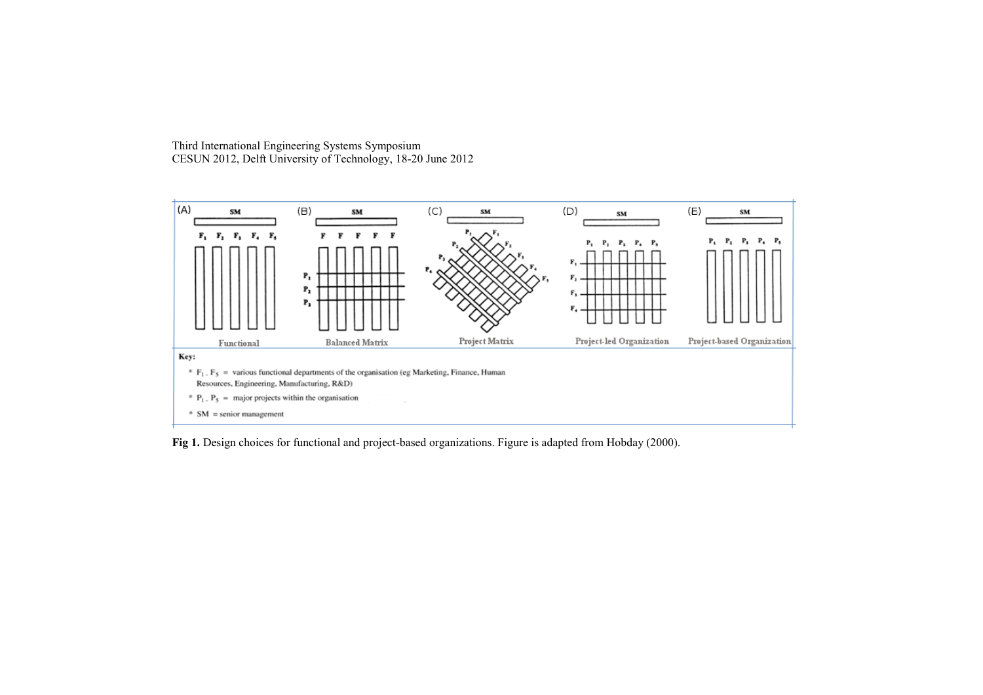Third International Engineering Systems Symposium CESUN 2012, Delft University of Technology, 18-20 June 2012



**Fig 1.** Design choices for functional and project-based organizations. Figure is adapted from Hobday (2000).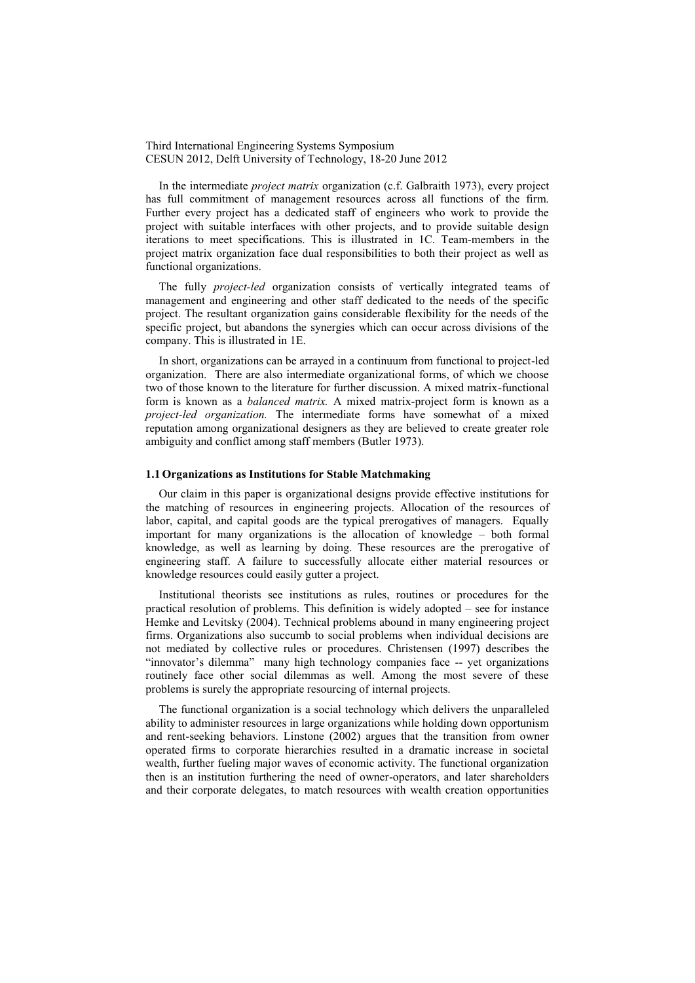Third International Engineering Systems Symposium CESUN 2012, Delft University of Technology, 18-20 June 2012

In the intermediate *project matrix* organization (c.f. Galbraith 1973), every project has full commitment of management resources across all functions of the firm. Further every project has a dedicated staff of engineers who work to provide the project with suitable interfaces with other projects, and to provide suitable design iterations to meet specifications. This is illustrated in 1C. Team-members in the project matrix organization face dual responsibilities to both their project as well as functional organizations.

The fully *project-led* organization consists of vertically integrated teams of management and engineering and other staff dedicated to the needs of the specific project. The resultant organization gains considerable flexibility for the needs of the specific project, but abandons the synergies which can occur across divisions of the company. This is illustrated in 1E.

In short, organizations can be arrayed in a continuum from functional to project-led organization. There are also intermediate organizational forms, of which we choose two of those known to the literature for further discussion. A mixed matrix-functional form is known as a *balanced matrix.* A mixed matrix-project form is known as a *project-led organization*. The intermediate forms have somewhat of a mixed reputation among organizational designers as they are believed to create greater role ambiguity and conflict among staff members (Butler 1973).

#### **1.1 Organizations as Institutions for Stable Matchmaking**

Our claim in this paper is organizational designs provide effective institutions for the matching of resources in engineering projects. Allocation of the resources of labor, capital, and capital goods are the typical prerogatives of managers. Equally important for many organizations is the allocation of knowledge – both formal knowledge, as well as learning by doing. These resources are the prerogative of engineering staff. A failure to successfully allocate either material resources or knowledge resources could easily gutter a project.

Institutional theorists see institutions as rules, routines or procedures for the practical resolution of problems. This definition is widely adopted – see for instance Hemke and Levitsky (2004). Technical problems abound in many engineering project firms. Organizations also succumb to social problems when individual decisions are not mediated by collective rules or procedures. Christensen (1997) describes the "innovator's dilemma" many high technology companies face -- yet organizations routinely face other social dilemmas as well. Among the most severe of these problems is surely the appropriate resourcing of internal projects.

The functional organization is a social technology which delivers the unparalleled ability to administer resources in large organizations while holding down opportunism and rent-seeking behaviors. Linstone (2002) argues that the transition from owner operated firms to corporate hierarchies resulted in a dramatic increase in societal wealth, further fueling major waves of economic activity. The functional organization then is an institution furthering the need of owner-operators, and later shareholders and their corporate delegates, to match resources with wealth creation opportunities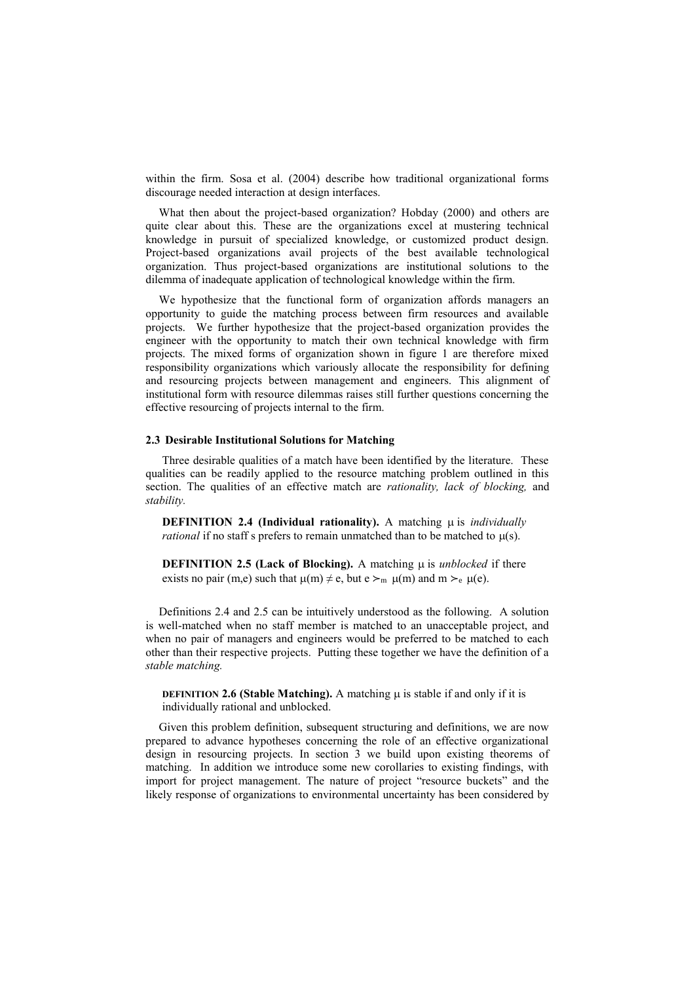within the firm. Sosa et al. (2004) describe how traditional organizational forms discourage needed interaction at design interfaces.

What then about the project-based organization? Hobday (2000) and others are quite clear about this. These are the organizations excel at mustering technical knowledge in pursuit of specialized knowledge, or customized product design. Project-based organizations avail projects of the best available technological organization. Thus project-based organizations are institutional solutions to the dilemma of inadequate application of technological knowledge within the firm.

We hypothesize that the functional form of organization affords managers an opportunity to guide the matching process between firm resources and available projects. We further hypothesize that the project-based organization provides the engineer with the opportunity to match their own technical knowledge with firm projects. The mixed forms of organization shown in figure 1 are therefore mixed responsibility organizations which variously allocate the responsibility for defining and resourcing projects between management and engineers. This alignment of institutional form with resource dilemmas raises still further questions concerning the effective resourcing of projects internal to the firm.

# **2.3 Desirable Institutional Solutions for Matching**

Three desirable qualities of a match have been identified by the literature. These qualities can be readily applied to the resource matching problem outlined in this section. The qualities of an effective match are *rationality, lack of blocking,* and *stability.*

**DEFINITION 2.4 (Individual rationality).** A matching  $\mu$  is *individually rational* if no staff s prefers to remain unmatched than to be matched to  $\mu(s)$ .

**DEFINITION 2.5 (Lack of Blocking).** A matching  $\mu$  is *unblocked* if there exists no pair (m,e) such that  $\mu(m) \neq e$ , but  $e >_m \mu(m)$  and  $m >_e \mu(e)$ .

Definitions 2.4 and 2.5 can be intuitively understood as the following. A solution is well-matched when no staff member is matched to an unacceptable project, and when no pair of managers and engineers would be preferred to be matched to each other than their respective projects. Putting these together we have the definition of a *stable matching.*

**DEFINITION 2.6 (Stable Matching).** A matching  $\mu$  is stable if and only if it is individually rational and unblocked.

Given this problem definition, subsequent structuring and definitions, we are now prepared to advance hypotheses concerning the role of an effective organizational design in resourcing projects. In section 3 we build upon existing theorems of matching. In addition we introduce some new corollaries to existing findings, with import for project management. The nature of project "resource buckets" and the likely response of organizations to environmental uncertainty has been considered by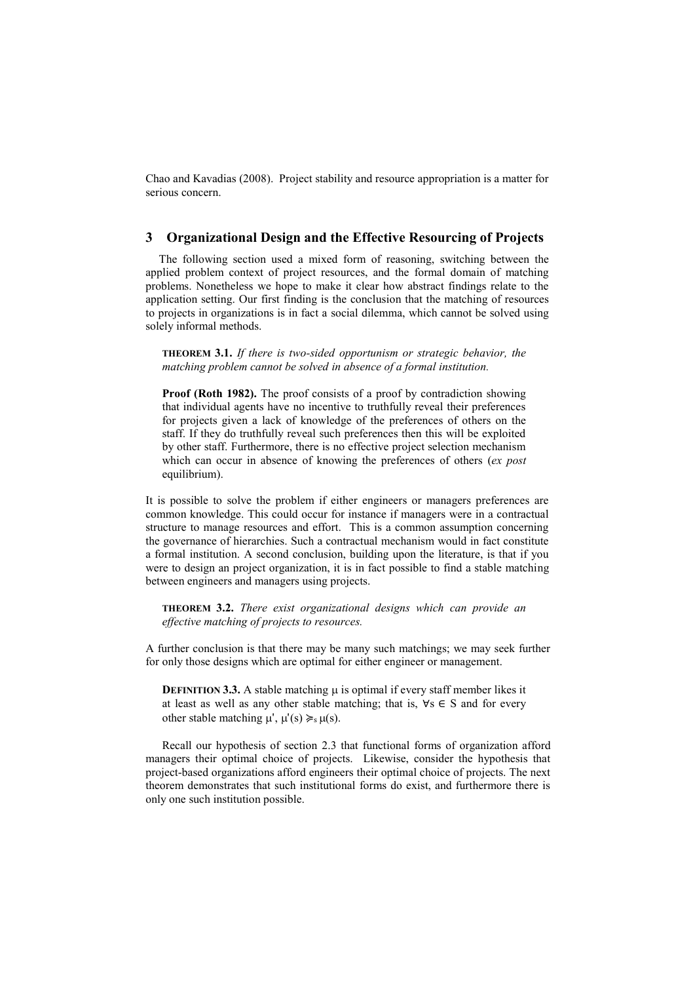Chao and Kavadias (2008). Project stability and resource appropriation is a matter for serious concern.

# **3 Organizational Design and the Effective Resourcing of Projects**

The following section used a mixed form of reasoning, switching between the applied problem context of project resources, and the formal domain of matching problems. Nonetheless we hope to make it clear how abstract findings relate to the application setting. Our first finding is the conclusion that the matching of resources to projects in organizations is in fact a social dilemma, which cannot be solved using solely informal methods.

**THEOREM 3.1.** *If there is two-sided opportunism or strategic behavior, the matching problem cannot be solved in absence of a formal institution.* 

**Proof (Roth 1982).** The proof consists of a proof by contradiction showing that individual agents have no incentive to truthfully reveal their preferences for projects given a lack of knowledge of the preferences of others on the staff. If they do truthfully reveal such preferences then this will be exploited by other staff. Furthermore, there is no effective project selection mechanism which can occur in absence of knowing the preferences of others (*ex post* equilibrium).

It is possible to solve the problem if either engineers or managers preferences are common knowledge. This could occur for instance if managers were in a contractual structure to manage resources and effort. This is a common assumption concerning the governance of hierarchies. Such a contractual mechanism would in fact constitute a formal institution. A second conclusion, building upon the literature, is that if you were to design an project organization, it is in fact possible to find a stable matching between engineers and managers using projects.

**THEOREM 3.2.** *There exist organizational designs which can provide an effective matching of projects to resources.*

A further conclusion is that there may be many such matchings; we may seek further for only those designs which are optimal for either engineer or management.

**DEFINITION 3.3.** A stable matching  $\mu$  is optimal if every staff member likes it at least as well as any other stable matching; that is,  $\forall s \in S$  and for every other stable matching  $\mu'$ ,  $\mu'(s) \geq s \mu(s)$ .

Recall our hypothesis of section 2.3 that functional forms of organization afford managers their optimal choice of projects. Likewise, consider the hypothesis that project-based organizations afford engineers their optimal choice of projects. The next theorem demonstrates that such institutional forms do exist, and furthermore there is only one such institution possible.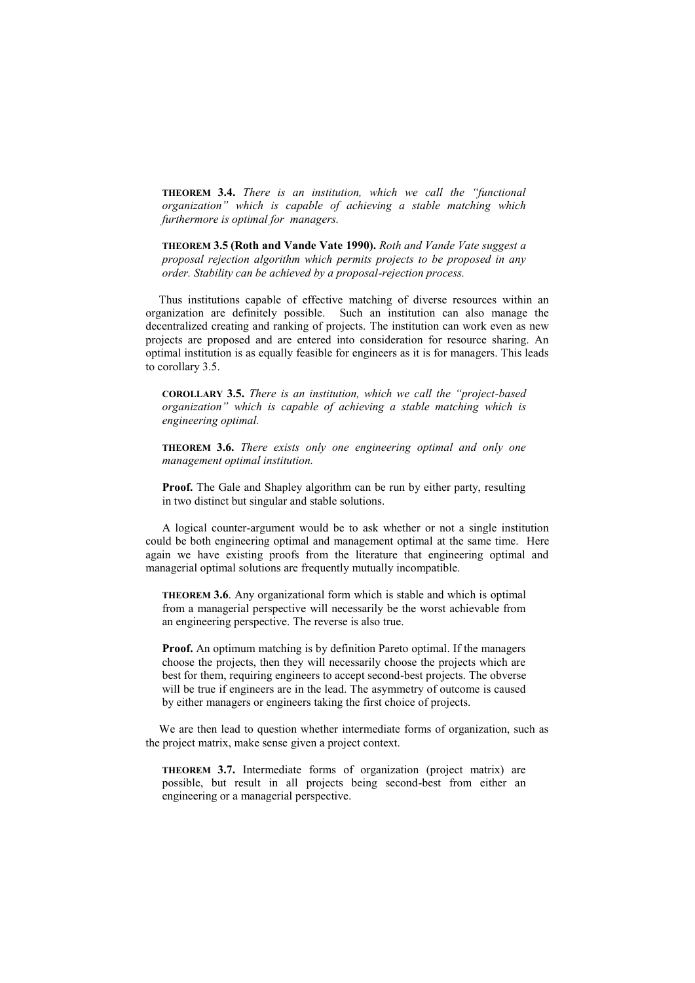**THEOREM 3.4.** *There is an institution, which we call the "functional organization" which is capable of achieving a stable matching which furthermore is optimal for managers.*

**THEOREM 3.5 (Roth and Vande Vate 1990).** *Roth and Vande Vate suggest a proposal rejection algorithm which permits projects to be proposed in any order. Stability can be achieved by a proposal-rejection process.*

Thus institutions capable of effective matching of diverse resources within an organization are definitely possible. Such an institution can also manage the decentralized creating and ranking of projects. The institution can work even as new projects are proposed and are entered into consideration for resource sharing. An optimal institution is as equally feasible for engineers as it is for managers. This leads to corollary 3.5.

**COROLLARY 3.5.** *There is an institution, which we call the "project-based organization" which is capable of achieving a stable matching which is engineering optimal.*

**THEOREM 3.6.** *There exists only one engineering optimal and only one management optimal institution.*

**Proof.** The Gale and Shapley algorithm can be run by either party, resulting in two distinct but singular and stable solutions.

A logical counter-argument would be to ask whether or not a single institution could be both engineering optimal and management optimal at the same time. Here again we have existing proofs from the literature that engineering optimal and managerial optimal solutions are frequently mutually incompatible.

**THEOREM 3.6**. Any organizational form which is stable and which is optimal from a managerial perspective will necessarily be the worst achievable from an engineering perspective. The reverse is also true.

**Proof.** An optimum matching is by definition Pareto optimal. If the managers choose the projects, then they will necessarily choose the projects which are best for them, requiring engineers to accept second-best projects. The obverse will be true if engineers are in the lead. The asymmetry of outcome is caused by either managers or engineers taking the first choice of projects.

We are then lead to question whether intermediate forms of organization, such as the project matrix, make sense given a project context.

**THEOREM 3.7.** Intermediate forms of organization (project matrix) are possible, but result in all projects being second-best from either an engineering or a managerial perspective.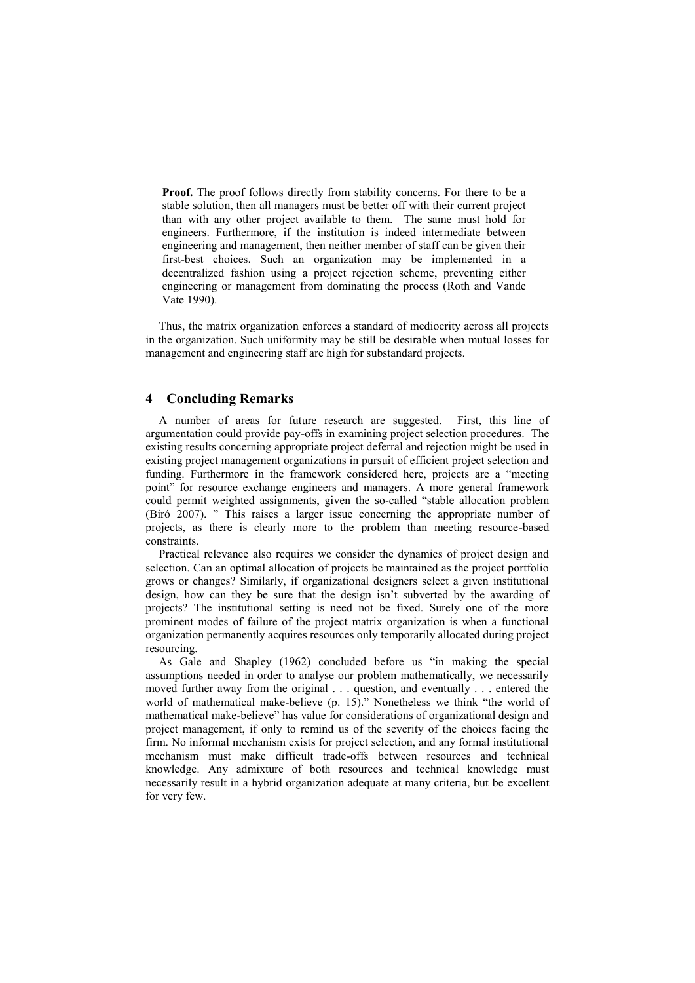**Proof.** The proof follows directly from stability concerns. For there to be a stable solution, then all managers must be better off with their current project than with any other project available to them. The same must hold for engineers. Furthermore, if the institution is indeed intermediate between engineering and management, then neither member of staff can be given their first-best choices. Such an organization may be implemented in a decentralized fashion using a project rejection scheme, preventing either engineering or management from dominating the process (Roth and Vande Vate 1990).

Thus, the matrix organization enforces a standard of mediocrity across all projects in the organization. Such uniformity may be still be desirable when mutual losses for management and engineering staff are high for substandard projects.

# **4 Concluding Remarks**

A number of areas for future research are suggested. First, this line of argumentation could provide pay-offs in examining project selection procedures. The existing results concerning appropriate project deferral and rejection might be used in existing project management organizations in pursuit of efficient project selection and funding. Furthermore in the framework considered here, projects are a "meeting point" for resource exchange engineers and managers. A more general framework could permit weighted assignments, given the so-called "stable allocation problem (Biró 2007). " This raises a larger issue concerning the appropriate number of projects, as there is clearly more to the problem than meeting resource-based constraints.

Practical relevance also requires we consider the dynamics of project design and selection. Can an optimal allocation of projects be maintained as the project portfolio grows or changes? Similarly, if organizational designers select a given institutional design, how can they be sure that the design isn't subverted by the awarding of projects? The institutional setting is need not be fixed. Surely one of the more prominent modes of failure of the project matrix organization is when a functional organization permanently acquires resources only temporarily allocated during project resourcing.

As Gale and Shapley (1962) concluded before us "in making the special assumptions needed in order to analyse our problem mathematically, we necessarily moved further away from the original . . . question, and eventually . . . entered the world of mathematical make-believe (p. 15)." Nonetheless we think "the world of mathematical make-believe" has value for considerations of organizational design and project management, if only to remind us of the severity of the choices facing the firm. No informal mechanism exists for project selection, and any formal institutional mechanism must make difficult trade-offs between resources and technical knowledge. Any admixture of both resources and technical knowledge must necessarily result in a hybrid organization adequate at many criteria, but be excellent for very few.